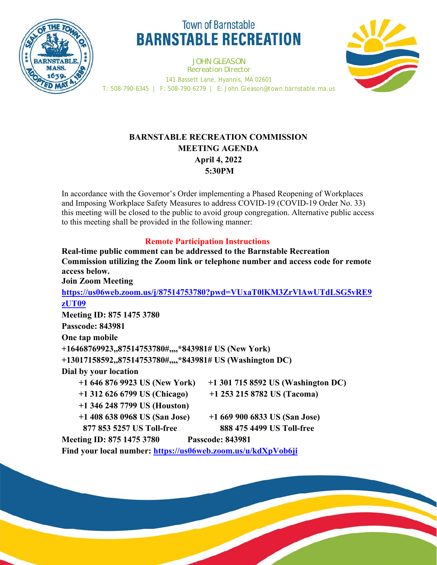

# **Town of Barnstable BARNSTABLE RECREATION**

JOHN GLEASON *Recreation Director* 141 Bassett Lane, Hyannis, MA 02601 T: 508-790-6345 | F: 508-790-6279 | E: John.Gleason@town.barnstable.ma.us



# **BARNSTABLE RECREATION COMMISSION MEETING AGENDA April 4, 2022 5:30PM**

In accordance with the Governor's Order implementing a Phased Reopening of Workplaces and Imposing Workplace Safety Measures to address COVID-19 (COVID-19 Order No. 33) this meeting will be closed to the public to avoid group congregation. Alternative public access to this meeting shall be provided in the following manner:

## **Remote Participation Instructions**

**Real-time public comment can be addressed to the Barnstable Recreation Commission utilizing the Zoom link or telephone number and access code for remote access below. Join Zoom Meeting https://us06web.zoom.us/j/87514753780?pwd=VUxaT0lKM3ZrVlAwUTdLSG5vRE9 zUT09 Meeting ID: 875 1475 3780 Passcode: 843981 One tap mobile +16468769923,,87514753780#,,,,\*843981# US (New York) +13017158592,,87514753780#,,,,\*843981# US (Washington DC) Dial by your location +1 646 876 9923 US (New York) +1 301 715 8592 US (Washington DC) +1 312 626 6799 US (Chicago) +1 253 215 8782 US (Tacoma) +1 346 248 7799 US (Houston) +1 408 638 0968 US (San Jose) +1 669 900 6833 US (San Jose) 877 853 5257 US Toll-free 888 475 4499 US Toll-free Meeting ID: 875 1475 3780 Passcode: 843981** 

**Find your local number: https://us06web.zoom.us/u/kdXpVob6ji**